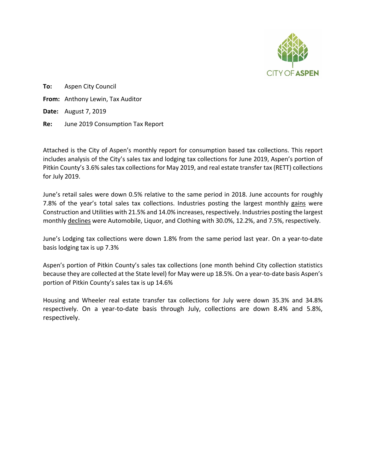

**To:** Aspen City Council **From:** Anthony Lewin, Tax Auditor **Date:** August 7, 2019 **Re:** June 2019 Consumption Tax Report

Attached is the City of Aspen's monthly report for consumption based tax collections. This report includes analysis of the City's sales tax and lodging tax collections for June 2019, Aspen's portion of Pitkin County's 3.6% sales tax collections for May 2019, and real estate transfer tax (RETT) collections for July 2019.

June's retail sales were down 0.5% relative to the same period in 2018. June accounts for roughly 7.8% of the year's total sales tax collections. Industries posting the largest monthly gains were Construction and Utilities with 21.5% and 14.0% increases, respectively. Industries posting the largest monthly declines were Automobile, Liquor, and Clothing with 30.0%, 12.2%, and 7.5%, respectively.

June's Lodging tax collections were down 1.8% from the same period last year. On a year-to-date basis lodging tax is up 7.3%

Aspen's portion of Pitkin County's sales tax collections (one month behind City collection statistics because they are collected at the State level) for May were up 18.5%. On a year-to-date basis Aspen's portion of Pitkin County's sales tax is up 14.6%

Housing and Wheeler real estate transfer tax collections for July were down 35.3% and 34.8% respectively. On a year-to-date basis through July, collections are down 8.4% and 5.8%, respectively.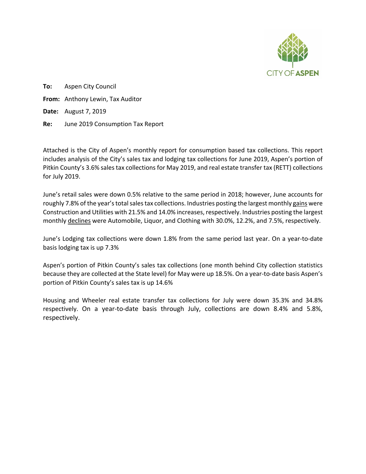

**To:** Aspen City Council **From:** Anthony Lewin, Tax Auditor **Date:** August 7, 2019 **Re:** June 2019 Consumption Tax Report

Attached is the City of Aspen's monthly report for consumption based tax collections. This report includes analysis of the City's sales tax and lodging tax collections for June 2019, Aspen's portion of Pitkin County's 3.6% sales tax collections for May 2019, and real estate transfer tax (RETT) collections for July 2019.

June's retail sales were down 0.5% relative to the same period in 2018; however, June accounts for roughly 7.8% of the year's total sales tax collections. Industries posting the largest monthly gains were Construction and Utilities with 21.5% and 14.0% increases, respectively. Industries posting the largest monthly declines were Automobile, Liquor, and Clothing with 30.0%, 12.2%, and 7.5%, respectively.

June's Lodging tax collections were down 1.8% from the same period last year. On a year-to-date basis lodging tax is up 7.3%

Aspen's portion of Pitkin County's sales tax collections (one month behind City collection statistics because they are collected at the State level) for May were up 18.5%. On a year-to-date basis Aspen's portion of Pitkin County's sales tax is up 14.6%

Housing and Wheeler real estate transfer tax collections for July were down 35.3% and 34.8% respectively. On a year-to-date basis through July, collections are down 8.4% and 5.8%, respectively.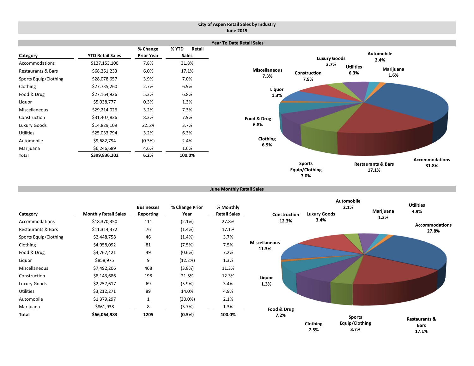#### **City of Aspen Retail Sales by Industry June 2019**



```
June Monthly Retail Sales
```

| Category              | <b>Monthly Retail Sales</b> | <b>Businesses</b><br>Reporting | % Change Prior<br>Year | % Monthly<br><b>Retail Sales</b> |
|-----------------------|-----------------------------|--------------------------------|------------------------|----------------------------------|
| Accommodations        | \$18,370,350                | 111                            | $(2.1\%)$              | 27.8%                            |
| Restaurants & Bars    | \$11,314,372                | 76                             | $(1.4\%)$              | 17.1%                            |
| Sports Equip/Clothing | \$2,448,758                 | 46                             | $(1.4\%)$              | 3.7%                             |
| Clothing              | \$4,958,092                 | 81                             | (7.5%)                 | 7.5%                             |
| Food & Drug           | \$4,767,421                 | 49                             | $(0.6\%)$              | 7.2%                             |
| Liquor                | \$858,975                   | 9                              | (12.2%)                | 1.3%                             |
| Miscellaneous         | \$7,492,206                 | 468                            | (3.8%)                 | 11.3%                            |
| Construction          | \$8,143,686                 | 198                            | 21.5%                  | 12.3%                            |
| Luxury Goods          | \$2,257,617                 | 69                             | (5.9%)                 | 3.4%                             |
| <b>Utilities</b>      | \$3,212,271                 | 89                             | 14.0%                  | 4.9%                             |
| Automobile            | \$1,379,297                 | 1                              | $(30.0\%)$             | 2.1%                             |
| Marijuana             | \$861,938                   | 8                              | (3.7%)                 | 1.3%                             |
| Total                 | \$66,064,983                | 1205                           | (0.5%)                 | 100.0%                           |

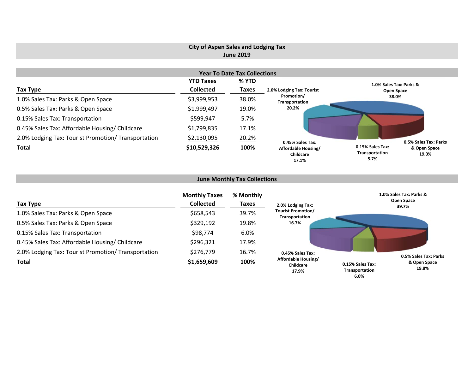## **City of Aspen Sales and Lodging Tax June 2019**

|                                                     |                  | <b>Year To Date Tax Collections</b> |                                                               |                                            |                       |
|-----------------------------------------------------|------------------|-------------------------------------|---------------------------------------------------------------|--------------------------------------------|-----------------------|
|                                                     | <b>YTD Taxes</b> | % YTD                               |                                                               | 1.0% Sales Tax: Parks &                    |                       |
| Tax Type                                            | <b>Collected</b> | <b>Taxes</b>                        | 2.0% Lodging Tax: Tourist                                     | Open Space                                 |                       |
| 1.0% Sales Tax: Parks & Open Space                  | \$3,999,953      | 38.0%                               | Promotion/<br>Transportation                                  | 38.0%                                      |                       |
| 0.5% Sales Tax: Parks & Open Space                  | \$1,999,497      | 19.0%                               | 20.2%                                                         |                                            |                       |
| 0.15% Sales Tax: Transportation                     | \$599,947        | 5.7%                                |                                                               |                                            |                       |
| 0.45% Sales Tax: Affordable Housing/ Childcare      | \$1,799,835      | 17.1%                               |                                                               |                                            |                       |
| 2.0% Lodging Tax: Tourist Promotion/ Transportation | \$2,130,095      | 20.2%                               |                                                               |                                            | 0.5% Sales Tax: Parks |
| <b>Total</b>                                        | \$10,529,326     | 100%                                | 0.45% Sales Tax:<br>Affordable Housing/<br>Childcare<br>17.1% | 0.15% Sales Tax:<br>Transportation<br>5.7% | & Open Space<br>19.0% |

# **June Monthly Tax Collections**

| Tax Type                                            | <b>Monthly Taxes</b><br><b>Collected</b> | % Monthly<br><b>Taxes</b> | 2.0% Lodging Tax:                           | 1.0% Sales Tax: Parks &<br>Open Space<br>39.7%              |
|-----------------------------------------------------|------------------------------------------|---------------------------|---------------------------------------------|-------------------------------------------------------------|
| 1.0% Sales Tax: Parks & Open Space                  | \$658,543                                | 39.7%                     | <b>Tourist Promotion/</b><br>Transportation |                                                             |
| 0.5% Sales Tax: Parks & Open Space                  | \$329,192                                | 19.8%                     | 16.7%                                       |                                                             |
| 0.15% Sales Tax: Transportation                     | \$98,774                                 | 6.0%                      |                                             |                                                             |
| 0.45% Sales Tax: Affordable Housing/ Childcare      | \$296,321                                | 17.9%                     |                                             |                                                             |
| 2.0% Lodging Tax: Tourist Promotion/ Transportation | \$276,779                                | 16.7%                     | 0.45% Sales Tax:                            | 0.5% Sales Tax: Parks                                       |
| <b>Total</b>                                        | \$1,659,609                              | 100%                      | Affordable Housing/<br>Childcare<br>17.9%   | & Open Space<br>0.15% Sales Tax:<br>19.8%<br>Transportation |

**6.0%**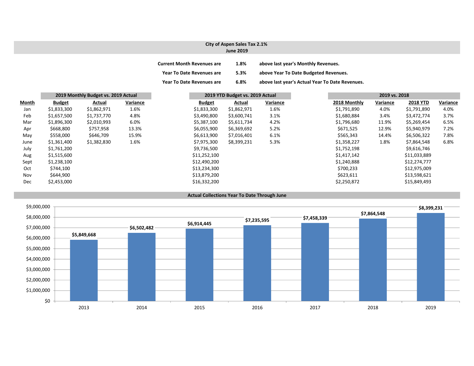#### **City of Aspen Sales Tax 2.1% June 2019**

| <b>Current Month Revenues are</b> | 1.8% | above last year's Monthly Revenues.             |
|-----------------------------------|------|-------------------------------------------------|
| <b>Year To Date Revenues are</b>  | 5.3% | above Year To Date Budgeted Revenues.           |
| <b>Year To Date Revenues are</b>  | 6.8% | above last year's Actual Year To Date Revenues. |

|              |               | 2019 Monthly Budget vs. 2019 Actual |          |               | 2019 YTD Budget vs. 2019 Actual |          |              | 2019 vs. 2018 |                 |          |
|--------------|---------------|-------------------------------------|----------|---------------|---------------------------------|----------|--------------|---------------|-----------------|----------|
| <b>Month</b> | <b>Budget</b> | Actual                              | Variance | <b>Budget</b> | Actual                          | Variance | 2018 Monthly | Variance      | <b>2018 YTD</b> | Variance |
| Jan          | \$1,833,300   | \$1,862,971                         | 1.6%     | \$1,833,300   | \$1,862,971                     | 1.6%     | \$1,791,890  | 4.0%          | \$1,791,890     | 4.0%     |
| Feb          | \$1,657,500   | \$1,737,770                         | 4.8%     | \$3,490,800   | \$3,600,741                     | 3.1%     | \$1,680,884  | 3.4%          | \$3,472,774     | 3.7%     |
| Mar          | \$1,896,300   | \$2,010,993                         | 6.0%     | \$5,387,100   | \$5,611,734                     | 4.2%     | \$1,796,680  | 11.9%         | \$5,269,454     | 6.5%     |
| Apr          | \$668,800     | \$757,958                           | 13.3%    | \$6,055,900   | \$6,369,692                     | 5.2%     | \$671,525    | 12.9%         | \$5,940,979     | 7.2%     |
| May          | \$558,000     | \$646,709                           | 15.9%    | \$6,613,900   | \$7,016,401                     | 6.1%     | \$565,343    | 14.4%         | \$6,506,322     | 7.8%     |
| June         | \$1,361,400   | \$1,382,830                         | 1.6%     | \$7,975,300   | \$8,399,231                     | 5.3%     | \$1,358,227  | 1.8%          | \$7,864,548     | 6.8%     |
| July         | \$1,761,200   |                                     |          | \$9,736,500   |                                 |          | \$1,752,198  |               | \$9,616,746     |          |
| Aug          | \$1,515,600   |                                     |          | \$11,252,100  |                                 |          | \$1,417,142  |               | \$11,033,889    |          |
| Sept         | \$1,238,100   |                                     |          | \$12,490,200  |                                 |          | \$1,240,888  |               | \$12,274,777    |          |
| Oct          | \$744,100     |                                     |          | \$13,234,300  |                                 |          | \$700,233    |               | \$12,975,009    |          |
| Nov          | \$644,900     |                                     |          | \$13,879,200  |                                 |          | \$623,611    |               | \$13,598,621    |          |
| Dec          | \$2,453,000   |                                     |          | \$16,332,200  |                                 |          | \$2,250,872  |               | \$15,849,493    |          |



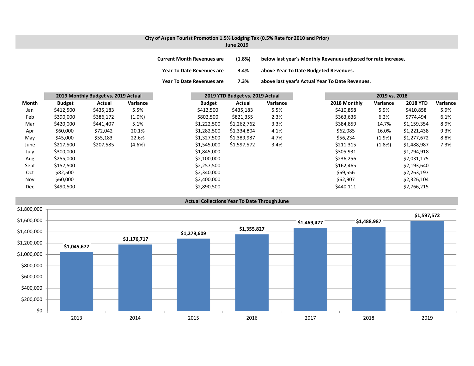# **City of Aspen Tourist Promotion 1.5% Lodging Tax (0.5% Rate for 2010 and Prior)**

**June 2019**

**Current Month Revenues are (1.8%) below last year's Monthly Revenues adjusted for rate increase.**

**Year To Date Revenues are 3.4% above Year To Date Budgeted Revenues.**

**Year To Date Revenues are 7.3% above last year's Actual Year To Date Revenues.**

|       | 2019 Monthly Budget vs. 2019 Actual |           |           | 2019 YTD Budget vs. 2019 Actual |             |          | 2019 vs. 2018 |           |                 |          |
|-------|-------------------------------------|-----------|-----------|---------------------------------|-------------|----------|---------------|-----------|-----------------|----------|
| Month | <b>Budget</b>                       | Actual    | Variance  | <b>Budget</b>                   | Actual      | Variance | 2018 Monthly  | Variance  | <b>2018 YTD</b> | Variance |
| Jan   | \$412,500                           | \$435,183 | 5.5%      | \$412,500                       | \$435,183   | 5.5%     | \$410,858     | 5.9%      | \$410,858       | 5.9%     |
| Feb   | \$390,000                           | \$386,172 | $(1.0\%)$ | \$802,500                       | \$821,355   | 2.3%     | \$363,636     | 6.2%      | \$774,494       | 6.1%     |
| Mar   | \$420,000                           | \$441,407 | 5.1%      | \$1,222,500                     | \$1,262,762 | 3.3%     | \$384,859     | 14.7%     | \$1,159,354     | 8.9%     |
| Apr   | \$60,000                            | \$72,042  | 20.1%     | \$1,282,500                     | \$1,334,804 | 4.1%     | \$62,085      | 16.0%     | \$1,221,438     | 9.3%     |
| May   | \$45,000                            | \$55,183  | 22.6%     | \$1,327,500                     | \$1,389,987 | 4.7%     | \$56,234      | $(1.9\%)$ | \$1,277,672     | 8.8%     |
| June  | \$217,500                           | \$207,585 | $(4.6\%)$ | \$1,545,000                     | \$1,597,572 | 3.4%     | \$211,315     | (1.8%)    | \$1,488,987     | 7.3%     |
| July  | \$300,000                           |           |           | \$1,845,000                     |             |          | \$305,931     |           | \$1,794,918     |          |
| Aug   | \$255,000                           |           |           | \$2,100,000                     |             |          | \$236,256     |           | \$2,031,175     |          |
| Sept  | \$157,500                           |           |           | \$2,257,500                     |             |          | \$162,465     |           | \$2,193,640     |          |
| Oct   | \$82,500                            |           |           | \$2,340,000                     |             |          | \$69,556      |           | \$2,263,197     |          |
| Nov   | \$60,000                            |           |           | \$2,400,000                     |             |          | \$62,907      |           | \$2,326,104     |          |
| Dec   | \$490,500                           |           |           | \$2,890,500                     |             |          | \$440,111     |           | \$2,766,215     |          |

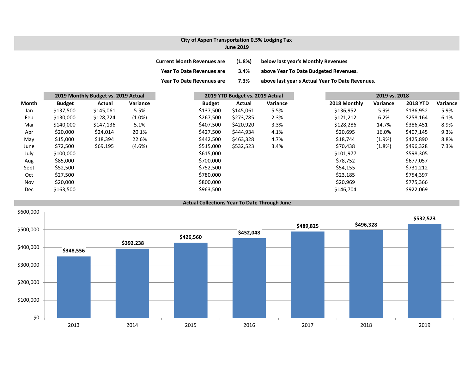#### **City of Aspen Transportation 0.5% Lodging Tax June 2019**

| <b>Current Month Revenues are</b> | $(1.8\%)$ | below last year's Monthly Revenues              |
|-----------------------------------|-----------|-------------------------------------------------|
| <b>Year To Date Revenues are</b>  | 3.4%      | above Year To Date Budgeted Revenues.           |
| <b>Year To Date Revenues are</b>  | 7.3%      | above last year's Actual Year To Date Revenues. |

|              |               | 2019 Monthly Budget vs. 2019 Actual |           |               | 2019 YTD Budget vs. 2019 Actual |          |              | 2019 vs. 2018 |                 |          |
|--------------|---------------|-------------------------------------|-----------|---------------|---------------------------------|----------|--------------|---------------|-----------------|----------|
| <u>Month</u> | <b>Budget</b> | Actual                              | Variance  | <b>Budget</b> | Actual                          | Variance | 2018 Monthly | Variance      | <b>2018 YTD</b> | Variance |
| Jan          | \$137,500     | \$145,061                           | 5.5%      | \$137,500     | \$145,061                       | 5.5%     | \$136,952    | 5.9%          | \$136,952       | 5.9%     |
| Feb          | \$130,000     | \$128,724                           | $(1.0\%)$ | \$267,500     | \$273,785                       | 2.3%     | \$121,212    | 6.2%          | \$258,164       | 6.1%     |
| Mar          | \$140,000     | \$147,136                           | 5.1%      | \$407,500     | \$420,920                       | 3.3%     | \$128,286    | 14.7%         | \$386,451       | 8.9%     |
| Apr          | \$20,000      | \$24,014                            | 20.1%     | \$427,500     | \$444,934                       | 4.1%     | \$20,695     | 16.0%         | \$407,145       | 9.3%     |
| May          | \$15,000      | \$18,394                            | 22.6%     | \$442,500     | \$463,328                       | 4.7%     | \$18,744     | $(1.9\%)$     | \$425,890       | 8.8%     |
| June         | \$72,500      | \$69,195                            | $(4.6\%)$ | \$515,000     | \$532,523                       | 3.4%     | \$70,438     | $(1.8\%)$     | \$496,328       | 7.3%     |
| July         | \$100,000     |                                     |           | \$615,000     |                                 |          | \$101,977    |               | \$598,305       |          |
| Aug          | \$85,000      |                                     |           | \$700,000     |                                 |          | \$78,752     |               | \$677,057       |          |
| Sept         | \$52,500      |                                     |           | \$752,500     |                                 |          | \$54,155     |               | \$731,212       |          |
| Oct          | \$27,500      |                                     |           | \$780,000     |                                 |          | \$23,185     |               | \$754,397       |          |
| Nov          | \$20,000      |                                     |           | \$800,000     |                                 |          | \$20,969     |               | \$775,366       |          |
| Dec          | \$163,500     |                                     |           | \$963,500     |                                 |          | \$146,704    |               | \$922,069       |          |

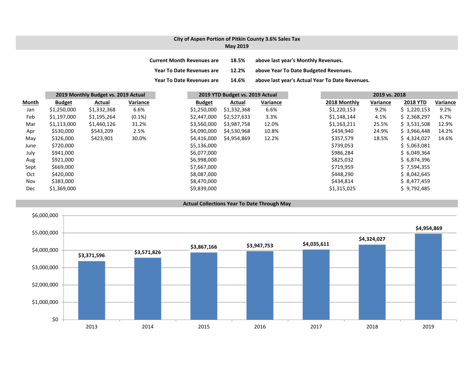#### **City of Aspen Portion of Pitkin County 3.6% Sales Tax May 2019**

| <b>Current Month Revenues are</b> | 18.5% | above last year's Monthly Revenues.             |
|-----------------------------------|-------|-------------------------------------------------|
| <b>Year To Date Revenues are</b>  | 12.2% | above Year To Date Budgeted Revenues.           |
| <b>Year To Date Revenues are</b>  | 14.6% | above last year's Actual Year To Date Revenues. |

|              |               | 2019 Monthly Budget vs. 2019 Actual |           |               | 2019 YTD Budget vs. 2019 Actual |          |              | 2019 vs. 2018 |                 |          |
|--------------|---------------|-------------------------------------|-----------|---------------|---------------------------------|----------|--------------|---------------|-----------------|----------|
| <b>Month</b> | <b>Budget</b> | Actual                              | Variance  | <b>Budget</b> | Actual                          | Variance | 2018 Monthly | Variance      | <b>2018 YTD</b> | Variance |
| Jan          | \$1,250,000   | \$1,332,368                         | 6.6%      | \$1,250,000   | \$1,332,368                     | 6.6%     | \$1,220,153  | 9.2%          | \$1,220,153     | 9.2%     |
| Feb          | \$1,197,000   | \$1,195,264                         | $(0.1\%)$ | \$2,447,000   | \$2,527,633                     | 3.3%     | \$1,148,144  | 4.1%          | \$2,368,297     | 6.7%     |
| Mar          | \$1,113,000   | \$1,460,126                         | 31.2%     | \$3,560,000   | \$3,987,758                     | 12.0%    | \$1,163,211  | 25.5%         | \$3,531,508     | 12.9%    |
| Apr          | \$530,000     | \$543,209                           | 2.5%      | \$4,090,000   | \$4,530,968                     | 10.8%    | \$434,940    | 24.9%         | \$3,966,448     | 14.2%    |
| May          | \$326,000     | \$423,901                           | 30.0%     | \$4,416,000   | \$4,954,869                     | 12.2%    | \$357,579    | 18.5%         | \$4,324,027     | 14.6%    |
| June         | \$720,000     |                                     |           | \$5,136,000   |                                 |          | \$739,053    |               | \$5,063,081     |          |
| July         | \$941,000     |                                     |           | \$6,077,000   |                                 |          | \$986,284    |               | \$6,049,364     |          |
| Aug          | \$921,000     |                                     |           | \$6,998,000   |                                 |          | \$825,032    |               | \$6,874,396     |          |
| Sept         | \$669,000     |                                     |           | \$7,667,000   |                                 |          | \$719,959    |               | \$7,594,355     |          |
| Oct          | \$420,000     |                                     |           | \$8,087,000   |                                 |          | \$448.290    |               | \$8,042,645     |          |
| Nov          | \$383,000     |                                     |           | \$8,470,000   |                                 |          | \$434,814    |               | \$8,477,459     |          |
| Dec          | \$1,369,000   |                                     |           | \$9,839,000   |                                 |          | \$1,315,025  |               | \$9,792,485     |          |

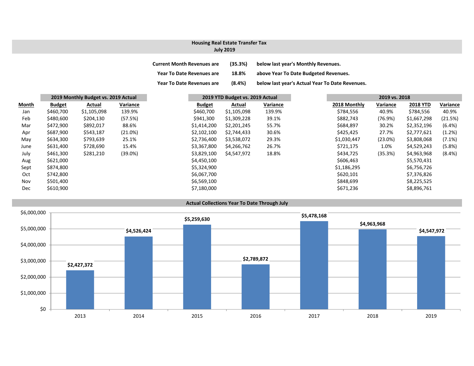## **Housing Real Estate Transfer Tax**

## **July 2019**

| <b>Current Month Revenues are</b> | (35.3%)   | below last year's Monthly Revenues.             |
|-----------------------------------|-----------|-------------------------------------------------|
| <b>Year To Date Revenues are</b>  | 18.8%     | above Year To Date Budgeted Revenues.           |
| <b>Year To Date Revenues are</b>  | $(8.4\%)$ | below last year's Actual Year To Date Revenues. |

|            |               | 2019 Monthly Budget vs. 2019 Actual |            |               | 2019 YTD Budget vs. 2019 Actual |          |  | 2019 vs. 2018 |            |                 |           |
|------------|---------------|-------------------------------------|------------|---------------|---------------------------------|----------|--|---------------|------------|-----------------|-----------|
| Month      | <b>Budget</b> | Actual                              | Variance   | <b>Budget</b> | Actual                          | Variance |  | 2018 Monthly  | Variance   | <b>2018 YTD</b> | Variance  |
| Jan        | \$460,700     | \$1,105,098                         | 139.9%     | \$460,700     | \$1,105,098                     | 139.9%   |  | \$784,556     | 40.9%      | \$784,556       | 40.9%     |
| Feb        | \$480,600     | \$204,130                           | (57.5%)    | \$941,300     | \$1,309,228                     | 39.1%    |  | \$882,743     | (76.9%)    | \$1,667,298     | (21.5%)   |
| Mar        | \$472,900     | \$892,017                           | 88.6%      | \$1,414,200   | \$2,201,245                     | 55.7%    |  | \$684,897     | 30.2%      | \$2,352,196     | (6.4% )   |
| Apr        | \$687,900     | \$543,187                           | (21.0%)    | \$2,102,100   | \$2,744,433                     | 30.6%    |  | \$425,425     | 27.7%      | \$2,777,621     | (1.2%)    |
| May        | \$634,300     | \$793,639                           | 25.1%      | \$2,736,400   | \$3,538,072                     | 29.3%    |  | \$1,030,447   | $(23.0\%)$ | \$3,808,068     | $(7.1\%)$ |
| June       | \$631,400     | \$728,690                           | 15.4%      | \$3,367,800   | \$4,266,762                     | 26.7%    |  | \$721,175     | 1.0%       | \$4,529,243     | (5.8%)    |
| July       | \$461,300     | \$281,210                           | $(39.0\%)$ | \$3,829,100   | \$4,547,972                     | 18.8%    |  | \$434,725     | (35.3%)    | \$4,963,968     | $(8.4\%)$ |
| Aug        | \$621,000     |                                     |            | \$4,450,100   |                                 |          |  | \$606,463     |            | \$5,570,431     |           |
| Sept       | \$874,800     |                                     |            | \$5,324,900   |                                 |          |  | \$1,186,295   |            | \$6,756,726     |           |
| Oct        | \$742,800     |                                     |            | \$6,067,700   |                                 |          |  | \$620,101     |            | \$7,376,826     |           |
| Nov        | \$501,400     |                                     |            | \$6,569,100   |                                 |          |  | \$848,699     |            | \$8,225,525     |           |
| <b>Dec</b> | \$610,900     |                                     |            | \$7,180,000   |                                 |          |  | \$671,236     |            | \$8,896,761     |           |
|            |               |                                     |            |               |                                 |          |  |               |            |                 |           |

## **Actual Collections Year To Date Through July**